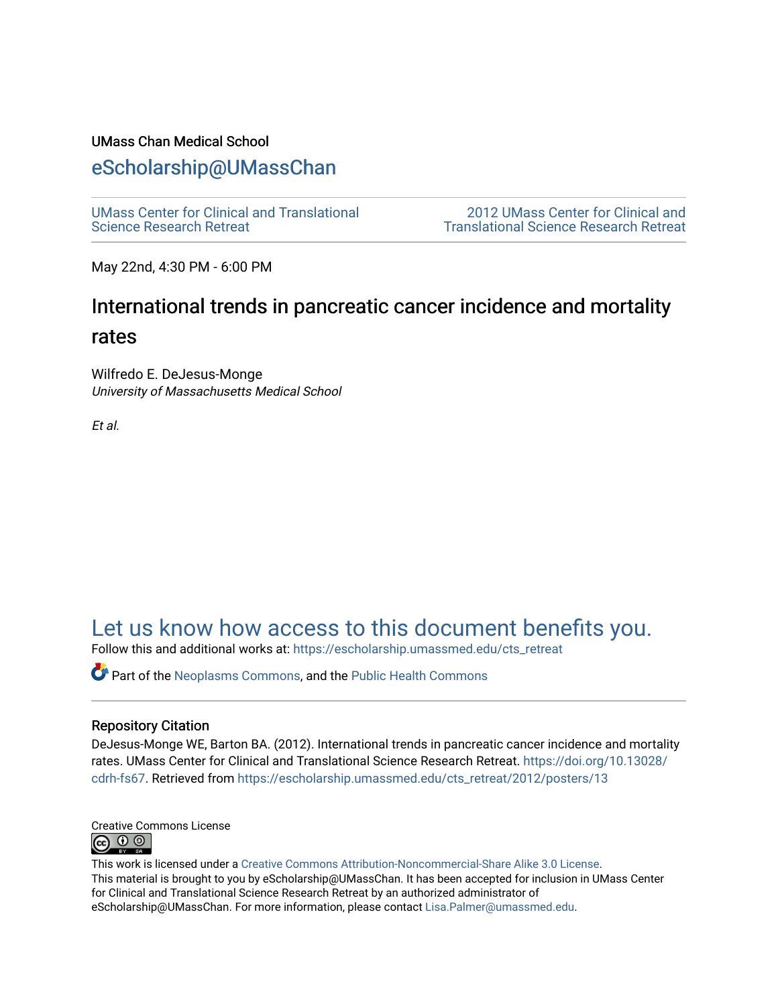### UMass Chan Medical School

### [eScholarship@UMassChan](https://escholarship.umassmed.edu/)

[UMass Center for Clinical and Translational](https://escholarship.umassmed.edu/cts_retreat)  [Science Research Retreat](https://escholarship.umassmed.edu/cts_retreat) 

[2012 UMass Center for Clinical and](https://escholarship.umassmed.edu/cts_retreat/2012)  [Translational Science Research Retreat](https://escholarship.umassmed.edu/cts_retreat/2012) 

May 22nd, 4:30 PM - 6:00 PM

# International trends in pancreatic cancer incidence and mortality rates

Wilfredo E. DeJesus-Monge University of Massachusetts Medical School

Et al.

# [Let us know how access to this document benefits you.](https://arcsapps.umassmed.edu/redcap/surveys/?s=XWRHNF9EJE)

Follow this and additional works at: [https://escholarship.umassmed.edu/cts\\_retreat](https://escholarship.umassmed.edu/cts_retreat?utm_source=escholarship.umassmed.edu%2Fcts_retreat%2F2012%2Fposters%2F13&utm_medium=PDF&utm_campaign=PDFCoverPages) 

Part of the [Neoplasms Commons,](http://network.bepress.com/hgg/discipline/924?utm_source=escholarship.umassmed.edu%2Fcts_retreat%2F2012%2Fposters%2F13&utm_medium=PDF&utm_campaign=PDFCoverPages) and the [Public Health Commons](http://network.bepress.com/hgg/discipline/738?utm_source=escholarship.umassmed.edu%2Fcts_retreat%2F2012%2Fposters%2F13&utm_medium=PDF&utm_campaign=PDFCoverPages)

#### Repository Citation

DeJesus-Monge WE, Barton BA. (2012). International trends in pancreatic cancer incidence and mortality rates. UMass Center for Clinical and Translational Science Research Retreat. [https://doi.org/10.13028/](https://doi.org/10.13028/cdrh-fs67) [cdrh-fs67](https://doi.org/10.13028/cdrh-fs67). Retrieved from [https://escholarship.umassmed.edu/cts\\_retreat/2012/posters/13](https://escholarship.umassmed.edu/cts_retreat/2012/posters/13?utm_source=escholarship.umassmed.edu%2Fcts_retreat%2F2012%2Fposters%2F13&utm_medium=PDF&utm_campaign=PDFCoverPages) 



This work is licensed under a [Creative Commons Attribution-Noncommercial-Share Alike 3.0 License.](http://creativecommons.org/licenses/by-nc-sa/3.0/) This material is brought to you by eScholarship@UMassChan. It has been accepted for inclusion in UMass Center for Clinical and Translational Science Research Retreat by an authorized administrator of eScholarship@UMassChan. For more information, please contact [Lisa.Palmer@umassmed.edu](mailto:Lisa.Palmer@umassmed.edu).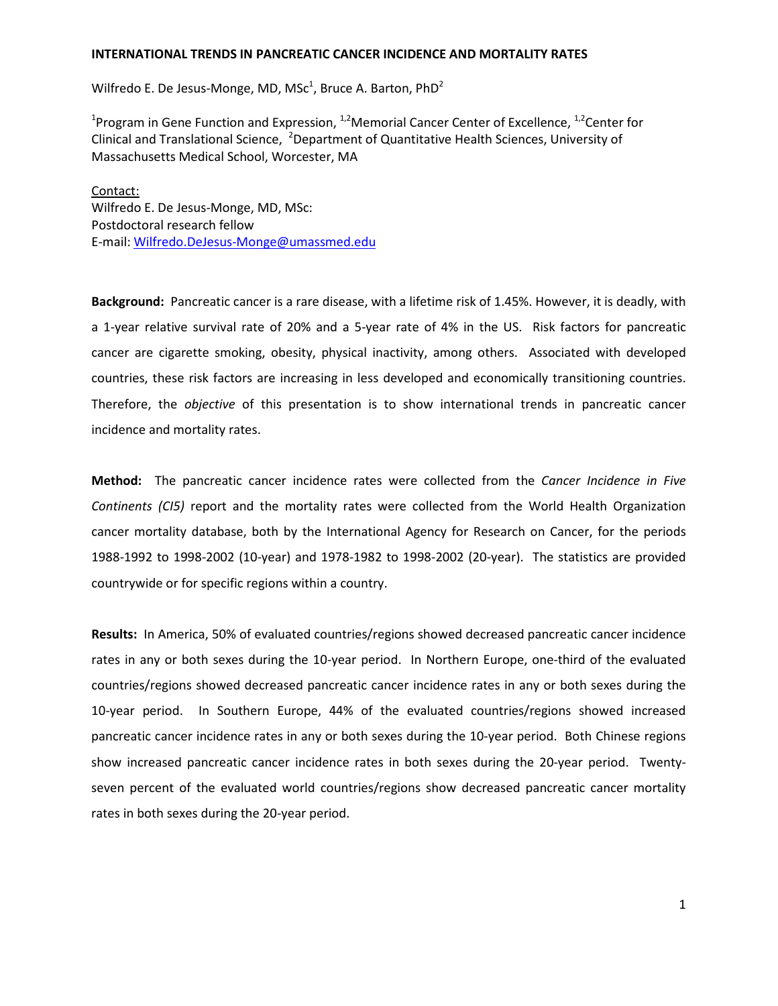#### **INTERNATIONAL TRENDS IN PANCREATIC CANCER INCIDENCE AND MORTALITY RATES**

Wilfredo E. De Jesus-Monge, MD, MS $c^1$ , Bruce A. Barton, PhD $^2$ 

<sup>1</sup>Program in Gene Function and Expression, <sup>1,2</sup>Memorial Cancer Center of Excellence, <sup>1,2</sup>Center for Clinical and Translational Science, <sup>2</sup>Department of Quantitative Health Sciences, University of Massachusetts Medical School, Worcester, MA

Wilfredo E. De Jesus-Monge, MD, MSc: Contact: Postdoctoral research fellow E-mail: [Wilfredo.DeJesus-Monge@umassmed.edu](mailto:Wilfredo.DeJesus-Monge@umassmed.edu)

**Background:** Pancreatic cancer is a rare disease, with a lifetime risk of 1.45%. However, it is deadly, with a 1-year relative survival rate of 20% and a 5-year rate of 4% in the US. Risk factors for pancreatic cancer are cigarette smoking, obesity, physical inactivity, among others. Associated with developed countries, these risk factors are increasing in less developed and economically transitioning countries. Therefore, the *objective* of this presentation is to show international trends in pancreatic cancer incidence and mortality rates.

**Method:** The pancreatic cancer incidence rates were collected from the *Cancer Incidence in Five Continents (CI5)* report and the mortality rates were collected from the World Health Organization cancer mortality database, both by the International Agency for Research on Cancer, for the periods 1988-1992 to 1998-2002 (10-year) and 1978-1982 to 1998-2002 (20-year). The statistics are provided countrywide or for specific regions within a country.

**Results:** In America, 50% of evaluated countries/regions showed decreased pancreatic cancer incidence rates in any or both sexes during the 10-year period. In Northern Europe, one-third of the evaluated countries/regions showed decreased pancreatic cancer incidence rates in any or both sexes during the 10-year period. In Southern Europe, 44% of the evaluated countries/regions showed increased pancreatic cancer incidence rates in any or both sexes during the 10-year period. Both Chinese regions show increased pancreatic cancer incidence rates in both sexes during the 20-year period. Twentyseven percent of the evaluated world countries/regions show decreased pancreatic cancer mortality rates in both sexes during the 20-year period.